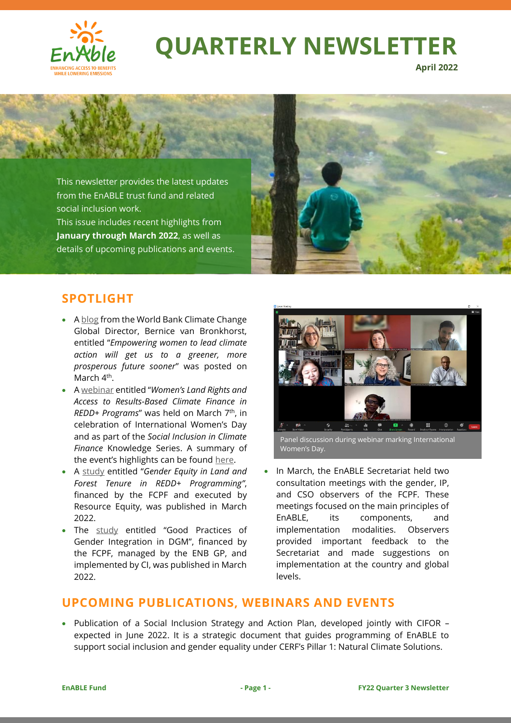

# **[QUARTERLY NEWSLETTER](https://www.worldbank.org/en/topic/climatechange/brief/enable-enhancing-access-to-benefits-while-lowering-emission)**

**April 2022**



## **SPOTLIGHT**

- [A blog](https://blogs.worldbank.org/climatechange/empowering-women-lead-climate-action-will-get-us-greener-more-prosperous-future) from the World Bank Climate Change Global Director, Bernice van Bronkhorst, entitled "*Empowering women to lead climate action will get us to a greener, more prosperous future sooner*" was posted on March 4<sup>th</sup>.
- [A webinar](https://www.forestcarbonpartnership.org/webinar-women%E2%80%99s-land-rights-and-access-results-based-climate-finance-redd-programs) entitled "*Women's Land Rights and Access to Results-Based Climate Finance in REDD+ Programs*" was held on March 7th, in celebration of International Women's Day and as part of the *Social Inclusion in Climate Finance* Knowledge Series. A summary of the event's highlights can be foun[d here.](https://www.forestcarbonpartnership.org/node/21816)
- A [study](https://openknowledge.worldbank.org/handle/10986/37129) entitled "*Gender Equity in Land and Forest Tenure in REDD+ Programming"*, financed by the FCPF and executed by Resource Equity, was published in March 2022.
- The [study](file:///C:/Users/wb174924/AppData/Local/Microsoft/Windows/INetCache/Content.Outlook/S4060KSQ/•%09Publication%20of%20study%20on) entitled "Good Practices of Gender Integration in DGM", financed by the FCPF, managed by the ENB GP, and implemented by CI, was published in March 2022.



Panel discussion during webinar marking International Women's Day.

• In March, the EnABLE Secretariat held two consultation meetings with the gender, IP, and CSO observers of the FCPF. These meetings focused on the main principles of EnABLE, its components, and implementation modalities. Observers provided important feedback to the Secretariat and made suggestions on implementation at the country and global levels.

## **UPCOMING PUBLICATIONS, WEBINARS AND EVENTS**

• Publication of a Social Inclusion Strategy and Action Plan, developed jointly with CIFOR – expected in June 2022. It is a strategic document that guides programming of EnABLE to support social inclusion and gender equality under CERF's Pillar 1: Natural Climate Solutions.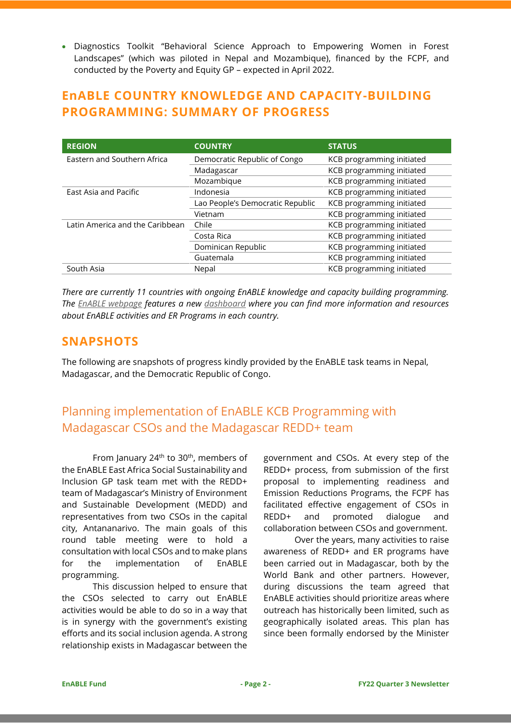• Diagnostics Toolkit "Behavioral Science Approach to Empowering Women in Forest Landscapes" (which was piloted in Nepal and Mozambique), financed by the FCPF, and conducted by the Poverty and Equity GP – expected in April 2022.

# **EnABLE COUNTRY KNOWLEDGE AND CAPACITY-BUILDING PROGRAMMING: SUMMARY OF PROGRESS**

| <b>REGION</b>                   | <b>COUNTRY</b>                   | <b>STATUS</b>             |
|---------------------------------|----------------------------------|---------------------------|
| Eastern and Southern Africa     | Democratic Republic of Congo     | KCB programming initiated |
|                                 | Madagascar                       | KCB programming initiated |
|                                 | Mozambique                       | KCB programming initiated |
| East Asia and Pacific           | Indonesia                        | KCB programming initiated |
|                                 | Lao People's Democratic Republic | KCB programming initiated |
|                                 | Vietnam                          | KCB programming initiated |
| Latin America and the Caribbean | Chile                            | KCB programming initiated |
|                                 | Costa Rica                       | KCB programming initiated |
|                                 | Dominican Republic               | KCB programming initiated |
|                                 | Guatemala                        | KCB programming initiated |
| South Asia                      | Nepal                            | KCB programming initiated |

*There are currently 11 countries with ongoing EnABLE knowledge and capacity building programming. The [EnABLE webpage](https://www.worldbank.org/en/topic/climatechange/brief/enable-enhancing-access-to-benefits-while-lowering-emission) features a new [dashboard](https://public.tableau.com/shared/DP2XG94ZD?:display_count=y&:origin=viz_share_link&:embed=y) where you can find more information and resources about EnABLE activities and ER Programs in each country.*

#### **SNAPSHOTS**

The following are snapshots of progress kindly provided by the EnABLE task teams in Nepal, Madagascar, and the Democratic Republic of Congo.

# Planning implementation of EnABLE KCB Programming with Madagascar CSOs and the Madagascar REDD+ team

From January 24<sup>th</sup> to 30<sup>th</sup>, members of the EnABLE East Africa Social Sustainability and Inclusion GP task team met with the REDD+ team of Madagascar's Ministry of Environment and Sustainable Development (MEDD) and representatives from two CSOs in the capital city, Antananarivo. The main goals of this round table meeting were to hold a consultation with local CSOs and to make plans for the implementation of EnABLE programming.

This discussion helped to ensure that the CSOs selected to carry out EnABLE activities would be able to do so in a way that is in synergy with the government's existing efforts and its social inclusion agenda. A strong relationship exists in Madagascar between the

government and CSOs. At every step of the REDD+ process, from submission of the first proposal to implementing readiness and Emission Reductions Programs, the FCPF has facilitated effective engagement of CSOs in REDD+ and promoted dialogue and collaboration between CSOs and government.

Over the years, many activities to raise awareness of REDD+ and ER programs have been carried out in Madagascar, both by the World Bank and other partners. However, during discussions the team agreed that EnABLE activities should prioritize areas where outreach has historically been limited, such as geographically isolated areas. This plan has since been formally endorsed by the Minister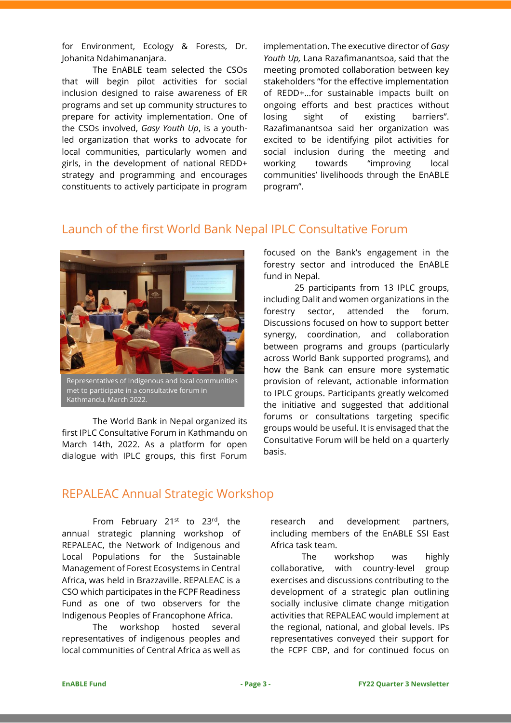for Environment, Ecology & Forests, Dr. Johanita Ndahimananjara.

The EnABLE team selected the CSOs that will begin pilot activities for social inclusion designed to raise awareness of ER programs and set up community structures to prepare for activity implementation. One of the CSOs involved, *Gasy Youth Up*, is a youthled organization that works to advocate for local communities, particularly women and girls, in the development of national REDD+ strategy and programming and encourages constituents to actively participate in program

implementation. The executive director of *Gasy Youth Up,* Lana Razafimanantsoa, said that the meeting promoted collaboration between key stakeholders "for the effective implementation of REDD+…for sustainable impacts built on ongoing efforts and best practices without losing sight of existing barriers". Razafimanantsoa said her organization was excited to be identifying pilot activities for social inclusion during the meeting and working towards "improving local communities' livelihoods through the EnABLE program".

#### Launch of the first World Bank Nepal IPLC Consultative Forum



Representatives of Indigenous and local communities met to participate in a consultative forum in Kathmandu, March 2022.

The World Bank in Nepal organized its first IPLC Consultative Forum in Kathmandu on March 14th, 2022. As a platform for open dialogue with IPLC groups, this first Forum focused on the Bank's engagement in the forestry sector and introduced the EnABLE fund in Nepal.

25 participants from 13 IPLC groups, including Dalit and women organizations in the forestry sector, attended the forum. Discussions focused on how to support better synergy, coordination, and collaboration between programs and groups (particularly across World Bank supported programs), and how the Bank can ensure more systematic provision of relevant, actionable information to IPLC groups. Participants greatly welcomed the initiative and suggested that additional forums or consultations targeting specific groups would be useful. It is envisaged that the Consultative Forum will be held on a quarterly basis.

#### REPALEAC Annual Strategic Workshop

From February 21<sup>st</sup> to 23<sup>rd</sup>, the annual strategic planning workshop of REPALEAC, the Network of Indigenous and Local Populations for the Sustainable Management of Forest Ecosystems in Central Africa, was held in Brazzaville. REPALEAC is a CSO which participates in the FCPF Readiness Fund as one of two observers for the Indigenous Peoples of Francophone Africa.

The workshop hosted several representatives of indigenous peoples and local communities of Central Africa as well as

research and development partners, including members of the EnABLE SSI East Africa task team.

The workshop was highly collaborative, with country-level group exercises and discussions contributing to the development of a strategic plan outlining socially inclusive climate change mitigation activities that REPALEAC would implement at the regional, national, and global levels. IPs representatives conveyed their support for the FCPF CBP, and for continued focus on